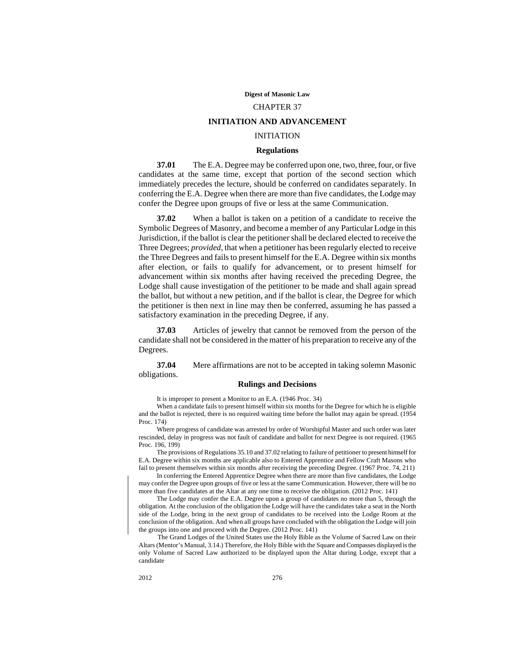#### **Digest of Masonic Law**

# CHAPTER 37

# **INITIATION AND ADVANCEMENT**

# INITIATION

# **Regulations**

**37.01** The E.A. Degree may be conferred upon one, two, three, four, or five candidates at the same time, except that portion of the second section which immediately precedes the lecture, should be conferred on candidates separately. In conferring the E.A. Degree when there are more than five candidates, the Lodge may confer the Degree upon groups of five or less at the same Communication.

**37.02** When a ballot is taken on a petition of a candidate to receive the Symbolic Degrees of Masonry, and become a member of any Particular Lodge in this Jurisdiction, if the ballot is clear the petitioner shall be declared elected to receive the Three Degrees; *provided*, that when a petitioner has been regularly elected to receive the Three Degrees and fails to present himself for the E.A. Degree within six months after election, or fails to qualify for advancement, or to present himself for advancement within six months after having received the preceding Degree, the Lodge shall cause investigation of the petitioner to be made and shall again spread the ballot, but without a new petition, and if the ballot is clear, the Degree for which the petitioner is then next in line may then be conferred, assuming he has passed a satisfactory examination in the preceding Degree, if any.

**37.03** Articles of jewelry that cannot be removed from the person of the candidate shall not be considered in the matter of his preparation to receive any of the Degrees.

**37.04** Mere affirmations are not to be accepted in taking solemn Masonic obligations.

#### **Rulings and Decisions**

It is improper to present a Monitor to an E.A. (1946 Proc. 34)

When a candidate fails to present himself within six months for the Degree for which he is eligible and the ballot is rejected, there is no required waiting time before the ballot may again be spread. (1954 Proc. 174)

Where progress of candidate was arrested by order of Worshipful Master and such order was later rescinded, delay in progress was not fault of candidate and ballot for next Degree is not required. (1965 Proc. 196, 199)

The provisions of Regulations 35.10 and 37.02 relating to failure of petitioner to present himself for E.A. Degree within six months are applicable also to Entered Apprentice and Fellow Craft Masons who fail to present themselves within six months after receiving the preceding Degree. (1967 Proc. 74, 211)

In conferring the Entered Apprentice Degree when there are more than five candidates, the Lodge may confer the Degree upon groups of five or less at the same Communication. However, there will be no more than five candidates at the Altar at any one time to receive the obligation. (2012 Proc. 141)

The Lodge may confer the E.A. Degree upon a group of candidates no more than 5, through the obligation. At the conclusion of the obligation the Lodge will have the candidates take a seat in the North side of the Lodge, bring in the next group of candidates to be received into the Lodge Room at the conclusion of the obligation. And when all groups have concluded with the obligation the Lodge will join the groups into one and proceed with the Degree. (2012 Proc. 141)

The Grand Lodges of the United States use the Holy Bible as the Volume of Sacred Law on their Altars (Mentor's Manual, 3.14.) Therefore, the Holy Bible with the Square and Compasses displayed is the only Volume of Sacred Law authorized to be displayed upon the Altar during Lodge, except that a candidate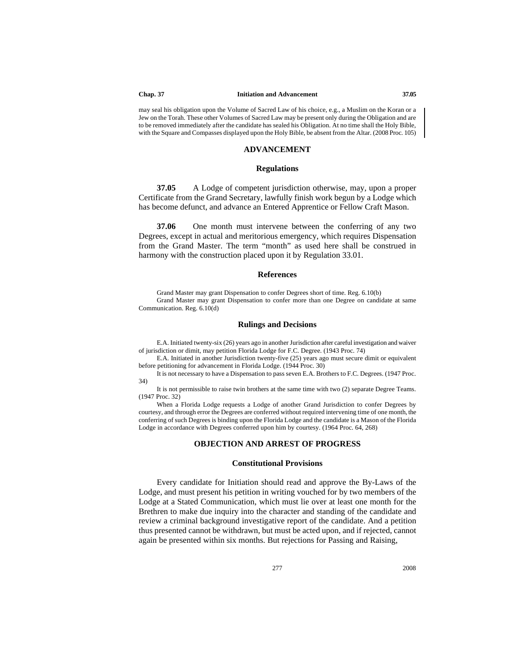#### **Chap. 37 Initiation and Advancement 37.05**

may seal his obligation upon the Volume of Sacred Law of his choice, e.g., a Muslim on the Koran or a Jew on the Torah. These other Volumes of Sacred Law may be present only during the Obligation and are to be removed immediately after the candidate has sealed his Obligation. At no time shall the Holy Bible, with the Square and Compasses displayed upon the Holy Bible, be absent from the Altar. (2008 Proc. 105)

#### **ADVANCEMENT**

# **Regulations**

**37.05** A Lodge of competent jurisdiction otherwise, may, upon a proper Certificate from the Grand Secretary, lawfully finish work begun by a Lodge which has become defunct, and advance an Entered Apprentice or Fellow Craft Mason.

**37.06** One month must intervene between the conferring of any two Degrees, except in actual and meritorious emergency, which requires Dispensation from the Grand Master. The term "month" as used here shall be construed in harmony with the construction placed upon it by Regulation 33.01.

# **References**

Grand Master may grant Dispensation to confer Degrees short of time. Reg. 6.10(b) Grand Master may grant Dispensation to confer more than one Degree on candidate at same Communication. Reg. 6.10(d)

#### **Rulings and Decisions**

E.A. Initiated twenty-six (26) years ago in another Jurisdiction after careful investigation and waiver of jurisdiction or dimit, may petition Florida Lodge for F.C. Degree. (1943 Proc. 74)

E.A. Initiated in another Jurisdiction twenty-five (25) years ago must secure dimit or equivalent before petitioning for advancement in Florida Lodge. (1944 Proc. 30)

It is not necessary to have a Dispensation to pass seven E.A. Brothers to F.C. Degrees. (1947 Proc. 34)

It is not permissible to raise twin brothers at the same time with two (2) separate Degree Teams. (1947 Proc. 32)

When a Florida Lodge requests a Lodge of another Grand Jurisdiction to confer Degrees by courtesy, and through error the Degrees are conferred without required intervening time of one month, the conferring of such Degrees is binding upon the Florida Lodge and the candidate is a Mason of the Florida Lodge in accordance with Degrees conferred upon him by courtesy. (1964 Proc. 64, 268)

# **OBJECTION AND ARREST OF PROGRESS**

# **Constitutional Provisions**

Every candidate for Initiation should read and approve the By-Laws of the Lodge, and must present his petition in writing vouched for by two members of the Lodge at a Stated Communication, which must lie over at least one month for the Brethren to make due inquiry into the character and standing of the candidate and review a criminal background investigative report of the candidate. And a petition thus presented cannot be withdrawn, but must be acted upon, and if rejected, cannot again be presented within six months. But rejections for Passing and Raising,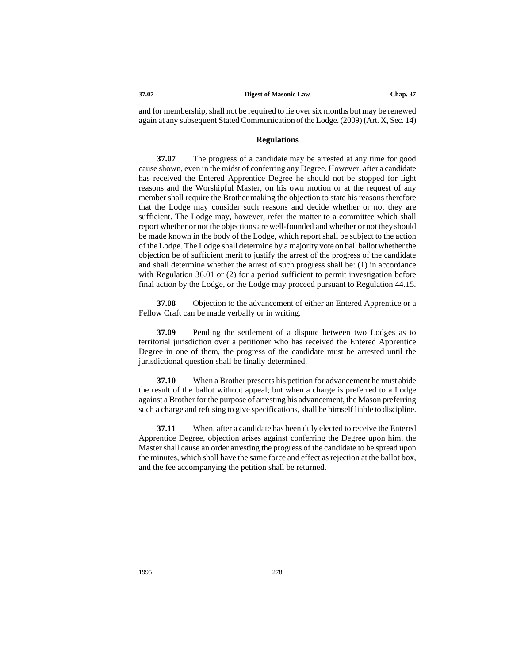#### **37.07 Digest of Masonic Law Chap. 37**

and for membership, shall not be required to lie over six months but may be renewed again at any subsequent Stated Communication of the Lodge. (2009) (Art. X, Sec. 14)

#### **Regulations**

**37.07** The progress of a candidate may be arrested at any time for good cause shown, even in the midst of conferring any Degree. However, after a candidate has received the Entered Apprentice Degree he should not be stopped for light reasons and the Worshipful Master, on his own motion or at the request of any member shall require the Brother making the objection to state his reasons therefore that the Lodge may consider such reasons and decide whether or not they are sufficient. The Lodge may, however, refer the matter to a committee which shall report whether or not the objections are well-founded and whether or not they should be made known in the body of the Lodge, which report shall be subject to the action of the Lodge. The Lodge shall determine by a majority vote on ball ballot whether the objection be of sufficient merit to justify the arrest of the progress of the candidate and shall determine whether the arrest of such progress shall be: (1) in accordance with Regulation 36.01 or (2) for a period sufficient to permit investigation before final action by the Lodge, or the Lodge may proceed pursuant to Regulation 44.15.

**37.08** Objection to the advancement of either an Entered Apprentice or a Fellow Craft can be made verbally or in writing.

**37.09** Pending the settlement of a dispute between two Lodges as to territorial jurisdiction over a petitioner who has received the Entered Apprentice Degree in one of them, the progress of the candidate must be arrested until the jurisdictional question shall be finally determined.

**37.10** When a Brother presents his petition for advancement he must abide the result of the ballot without appeal; but when a charge is preferred to a Lodge against a Brother for the purpose of arresting his advancement, the Mason preferring such a charge and refusing to give specifications, shall be himself liable to discipline.

**37.11** When, after a candidate has been duly elected to receive the Entered Apprentice Degree, objection arises against conferring the Degree upon him, the Master shall cause an order arresting the progress of the candidate to be spread upon the minutes, which shall have the same force and effect as rejection at the ballot box, and the fee accompanying the petition shall be returned.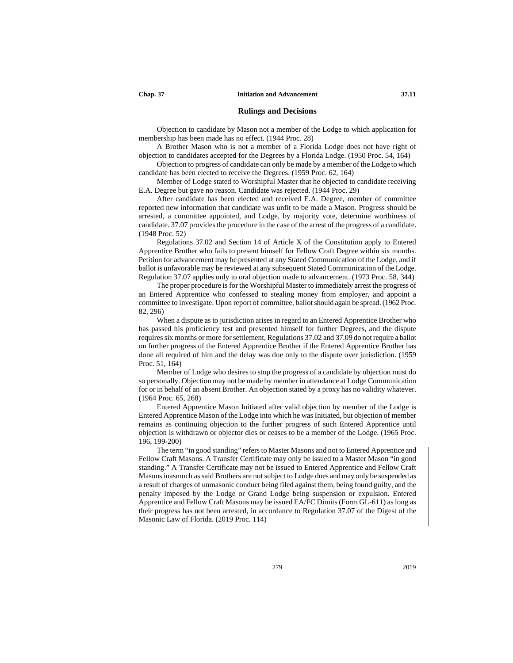# **Rulings and Decisions**

Objection to candidate by Mason not a member of the Lodge to which application for membership has been made has no effect. (1944 Proc. 28)

A Brother Mason who is not a member of a Florida Lodge does not have right of objection to candidates accepted for the Degrees by a Florida Lodge. (1950 Proc. 54, 164)

Objection to progress of candidate can only be made by a member of the Lodge to which candidate has been elected to receive the Degrees. (1959 Proc. 62, 164)

Member of Lodge stated to Worshipful Master that he objected to candidate receiving E.A. Degree but gave no reason. Candidate was rejected. (1944 Proc. 29)

After candidate has been elected and received E.A. Degree, member of committee reported new information that candidate was unfit to be made a Mason. Progress should be arrested, a committee appointed, and Lodge, by majority vote, determine worthiness of candidate. 37.07 provides the procedure in the case of the arrest of the progress of a candidate. (1948 Proc. 52)

Regulations 37.02 and Section 14 of Article X of the Constitution apply to Entered Apprentice Brother who fails to present himself for Fellow Craft Degree within six months. Petition for advancement may be presented at any Stated Communication of the Lodge, and if ballot is unfavorable may be reviewed at any subsequent Stated Communication of the Lodge. Regulation 37.07 applies only to oral objection made to advancement. (1973 Proc. 58, 344)

The proper procedure is for the Worshipful Master to immediately arrest the progress of an Entered Apprentice who confessed to stealing money from employer, and appoint a committee to investigate. Upon report of committee, ballot should again be spread. (1962 Proc. 82, 296)

When a dispute as to jurisdiction arises in regard to an Entered Apprentice Brother who has passed his proficiency test and presented himself for further Degrees, and the dispute requires six months or more for settlement, Regulations 37.02 and 37.09 do not require a ballot on further progress of the Entered Apprentice Brother if the Entered Apprentice Brother has done all required of him and the delay was due only to the dispute over jurisdiction. (1959 Proc. 51, 164)

Member of Lodge who desires to stop the progress of a candidate by objection must do so personally. Objection may not be made by member in attendance at Lodge Communication for or in behalf of an absent Brother. An objection stated by a proxy has no validity whatever. (1964 Proc. 65, 268)

Entered Apprentice Mason Initiated after valid objection by member of the Lodge is Entered Apprentice Mason of the Lodge into which he was Initiated, but objection of member remains as continuing objection to the further progress of such Entered Apprentice until objection is withdrawn or objector dies or ceases to be a member of the Lodge. (1965 Proc. 196, 199-200)

The term "in good standing" refers to Master Masons and not to Entered Apprentice and Fellow Craft Masons. A Transfer Certificate may only be issued to a Master Mason "in good standing." A Transfer Certificate may not be issued to Entered Apprentice and Fellow Craft Masons inasmuch as said Brothers are not subject to Lodge dues and may only be suspended as a result of charges of unmasonic conduct being filed against them, being found guilty, and the penalty imposed by the Lodge or Grand Lodge being suspension or expulsion. Entered Apprentice and Fellow Craft Masons may be issued EA/FC Dimits (Form GL-611) as long as their progress has not been arrested, in accordance to Regulation 37.07 of the Digest of the Masonic Law of Florida. (2019 Proc. 114)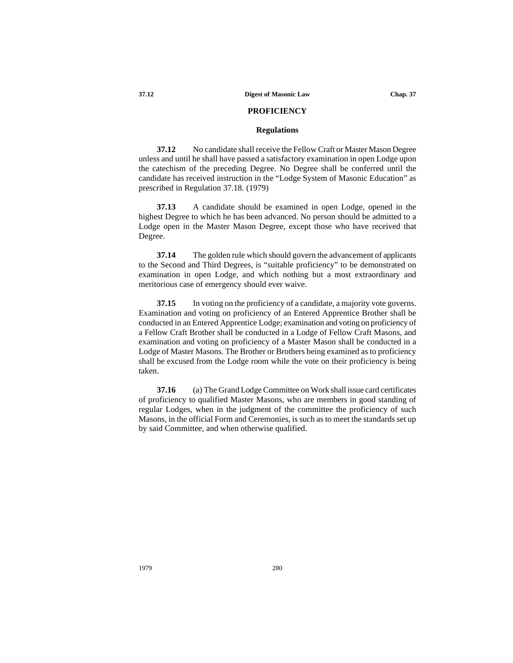# **PROFICIENCY**

# **Regulations**

**37.12** No candidate shall receive the Fellow Craft or Master Mason Degree unless and until he shall have passed a satisfactory examination in open Lodge upon the catechism of the preceding Degree. No Degree shall be conferred until the candidate has received instruction in the "Lodge System of Masonic Education" as prescribed in Regulation 37.18. (1979)

**37.13** A candidate should be examined in open Lodge, opened in the highest Degree to which he has been advanced. No person should be admitted to a Lodge open in the Master Mason Degree, except those who have received that Degree.

**37.14** The golden rule which should govern the advancement of applicants to the Second and Third Degrees, is "suitable proficiency" to be demonstrated on examination in open Lodge, and which nothing but a most extraordinary and meritorious case of emergency should ever waive.

**37.15** In voting on the proficiency of a candidate, a majority vote governs. Examination and voting on proficiency of an Entered Apprentice Brother shall be conducted in an Entered Apprentice Lodge; examination and voting on proficiency of a Fellow Craft Brother shall be conducted in a Lodge of Fellow Craft Masons, and examination and voting on proficiency of a Master Mason shall be conducted in a Lodge of Master Masons. The Brother or Brothers being examined as to proficiency shall be excused from the Lodge room while the vote on their proficiency is being taken.

**37.16** (a) The Grand Lodge Committee on Work shall issue card certificates of proficiency to qualified Master Masons, who are members in good standing of regular Lodges, when in the judgment of the committee the proficiency of such Masons, in the official Form and Ceremonies, is such as to meet the standards set up by said Committee, and when otherwise qualified.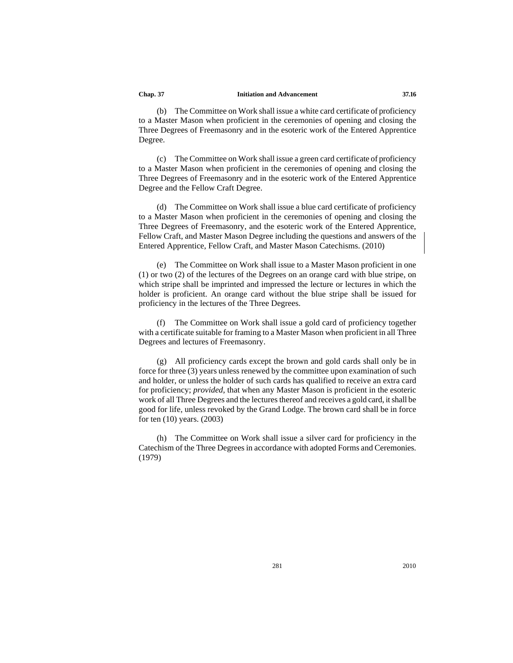(b) The Committee on Work shall issue a white card certificate of proficiency to a Master Mason when proficient in the ceremonies of opening and closing the Three Degrees of Freemasonry and in the esoteric work of the Entered Apprentice Degree.

(c) The Committee on Work shall issue a green card certificate of proficiency to a Master Mason when proficient in the ceremonies of opening and closing the Three Degrees of Freemasonry and in the esoteric work of the Entered Apprentice Degree and the Fellow Craft Degree.

(d) The Committee on Work shall issue a blue card certificate of proficiency to a Master Mason when proficient in the ceremonies of opening and closing the Three Degrees of Freemasonry, and the esoteric work of the Entered Apprentice, Fellow Craft, and Master Mason Degree including the questions and answers of the Entered Apprentice, Fellow Craft, and Master Mason Catechisms. (2010)

(e) The Committee on Work shall issue to a Master Mason proficient in one (1) or two (2) of the lectures of the Degrees on an orange card with blue stripe, on which stripe shall be imprinted and impressed the lecture or lectures in which the holder is proficient. An orange card without the blue stripe shall be issued for proficiency in the lectures of the Three Degrees.

(f) The Committee on Work shall issue a gold card of proficiency together with a certificate suitable for framing to a Master Mason when proficient in all Three Degrees and lectures of Freemasonry.

(g) All proficiency cards except the brown and gold cards shall only be in force for three (3) years unless renewed by the committee upon examination of such and holder, or unless the holder of such cards has qualified to receive an extra card for proficiency; *provided*, that when any Master Mason is proficient in the esoteric work of all Three Degrees and the lectures thereof and receives a gold card, it shall be good for life, unless revoked by the Grand Lodge. The brown card shall be in force for ten (10) years. (2003)

(h) The Committee on Work shall issue a silver card for proficiency in the Catechism of the Three Degrees in accordance with adopted Forms and Ceremonies. (1979)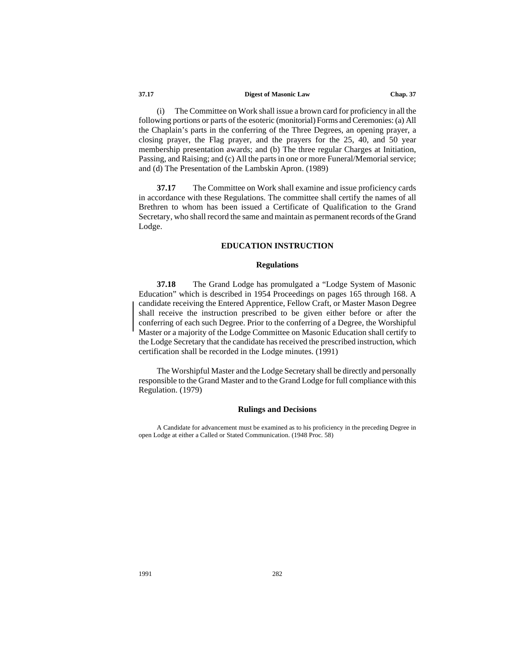#### **37.17 Digest of Masonic Law Chap. 37**

(i) The Committee on Work shall issue a brown card for proficiency in all the following portions or parts of the esoteric (monitorial) Forms and Ceremonies: (a) All the Chaplain's parts in the conferring of the Three Degrees, an opening prayer, a closing prayer, the Flag prayer, and the prayers for the 25, 40, and 50 year membership presentation awards; and (b) The three regular Charges at Initiation, Passing, and Raising; and (c) All the parts in one or more Funeral/Memorial service; and (d) The Presentation of the Lambskin Apron. (1989)

**37.17** The Committee on Work shall examine and issue proficiency cards in accordance with these Regulations. The committee shall certify the names of all Brethren to whom has been issued a Certificate of Qualification to the Grand Secretary, who shall record the same and maintain as permanent records of the Grand Lodge.

# **EDUCATION INSTRUCTION**

#### **Regulations**

**37.18** The Grand Lodge has promulgated a "Lodge System of Masonic Education" which is described in 1954 Proceedings on pages 165 through 168. A candidate receiving the Entered Apprentice, Fellow Craft, or Master Mason Degree shall receive the instruction prescribed to be given either before or after the conferring of each such Degree. Prior to the conferring of a Degree, the Worshipful Master or a majority of the Lodge Committee on Masonic Education shall certify to the Lodge Secretary that the candidate has received the prescribed instruction, which certification shall be recorded in the Lodge minutes. (1991)

The Worshipful Master and the Lodge Secretary shall be directly and personally responsible to the Grand Master and to the Grand Lodge for full compliance with this Regulation. (1979)

# **Rulings and Decisions**

A Candidate for advancement must be examined as to his proficiency in the preceding Degree in open Lodge at either a Called or Stated Communication. (1948 Proc. 58)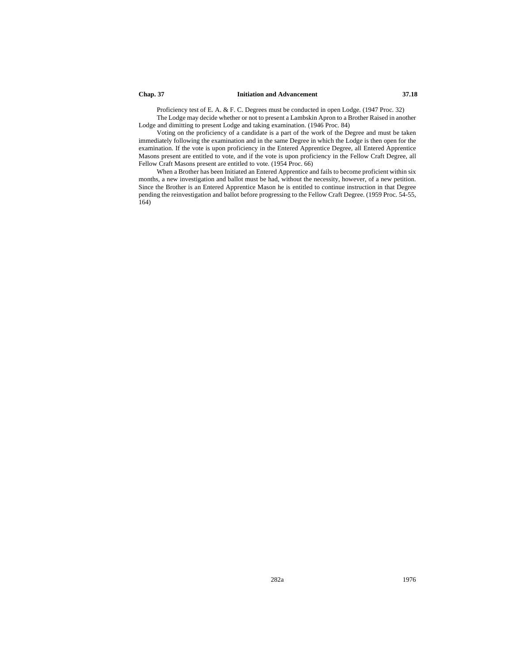#### **Chap. 37 Initiation and Advancement 37.18**

Proficiency test of E. A. & F. C. Degrees must be conducted in open Lodge. (1947 Proc. 32) The Lodge may decide whether or not to present a Lambskin Apron to a Brother Raised in another Lodge and dimitting to present Lodge and taking examination. (1946 Proc. 84)

Voting on the proficiency of a candidate is a part of the work of the Degree and must be taken immediately following the examination and in the same Degree in which the Lodge is then open for the examination. If the vote is upon proficiency in the Entered Apprentice Degree, all Entered Apprentice Masons present are entitled to vote, and if the vote is upon proficiency in the Fellow Craft Degree, all Fellow Craft Masons present are entitled to vote. (1954 Proc. 66)

When a Brother has been Initiated an Entered Apprentice and fails to become proficient within six months, a new investigation and ballot must be had, without the necessity, however, of a new petition. Since the Brother is an Entered Apprentice Mason he is entitled to continue instruction in that Degree pending the reinvestigation and ballot before progressing to the Fellow Craft Degree. (1959 Proc. 54-55, 164)